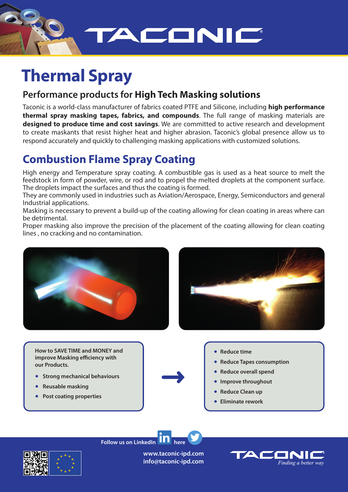

# **Thermal Spray**

### **Performance products for High Tech Masking solutions**

Taconic is a world-class manufacturer of fabrics coated PTFE and Silicone, including **high performance thermal spray masking tapes, fabrics, and compounds**. The full range of masking materials are **designed to produce time and cost savings**. We are committed to active research and development to create maskants that resist higher heat and higher abrasion. Taconic's global presence allow us to respond accurately and quickly to challenging masking applications with customized solutions.

# **Combustion Flame Spray Coating**

High energy and Temperature spray coating. A combustible gas is used as a heat source to melt the feedstock in form of powder, wire, or rod and to propel the melted droplets at the component surface. The droplets impact the surfaces and thus the coating is formed.

They are commonly used in industries such as Aviation/Aerospace, Energy, Semiconductors and general Industrial applications.

Masking is necessary to prevent a build-up of the coating allowing for clean coating in areas where can be detrimental.

Proper masking also improve the precision of the placement of the coating allowing for clean coating lines , no cracking and no contamination.



**How to SAVE TIME and MONEY and improve Masking efficiency with our Products.**

- ● **Strong mechanical behaviours**
- ● **Reusable masking**
- **Post coating properties**
- 
- **Reduce time**
- **Reduce Tapes consumption**
- **Reduce overall spend**
- **Improve throughout**
- **Reduce Clean up**
- **Eliminate rework**

**Follow us on LinkedIn**  $\textbf{H}$  **H** here

**www.taconic-ipd.com info@taconic-ipd.com**